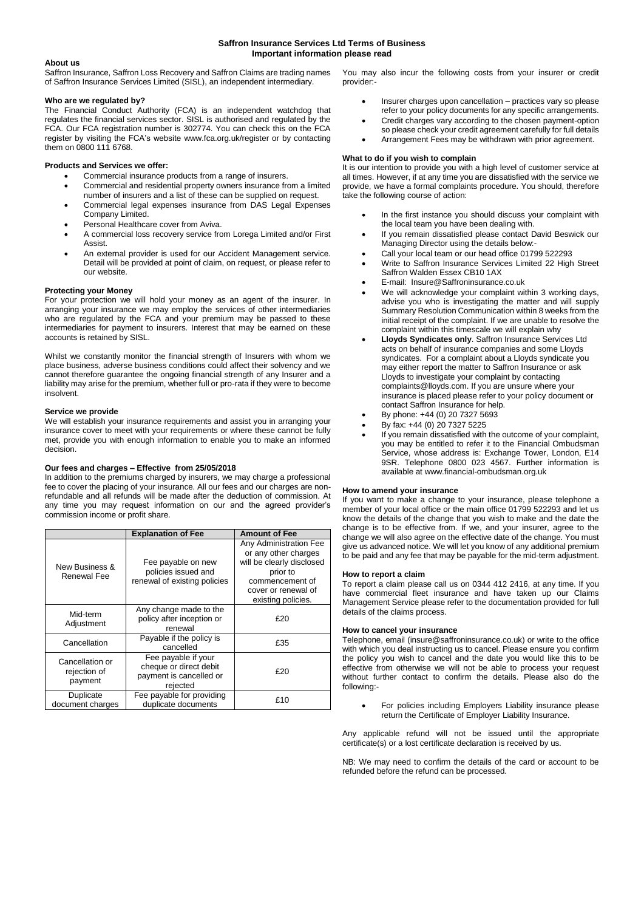# **Saffron Insurance Services Ltd Terms of Business Important information please read**

# **About us**

Saffron Insurance, Saffron Loss Recovery and Saffron Claims are trading names of Saffron Insurance Services Limited (SISL), an independent intermediary.

## **Who are we regulated by?**

The Financial Conduct Authority (FCA) is an independent watchdog that regulates the financial services sector. SISL is authorised and regulated by the FCA. Our FCA registration number is 302774. You can check this on the FCA register by visiting the FCA's website www.fca.org.uk/register or by contacting them on 0800 111 6768.

## **Products and Services we offer:**

- Commercial insurance products from a range of insurers.
- Commercial and residential property owners insurance from a limited number of insurers and a list of these can be supplied on request.
- Commercial legal expenses insurance from DAS Legal Expenses Company Limited.
- Personal Healthcare cover from Aviva.
- A commercial loss recovery service from Lorega Limited and/or First Assist.
- An external provider is used for our Accident Management service. Detail will be provided at point of claim, on request, or please refer to our website.

## **Protecting your Money**

For your protection we will hold your money as an agent of the insurer. In arranging your insurance we may employ the services of other intermediaries who are regulated by the FCA and your premium may be passed to these intermediaries for payment to insurers. Interest that may be earned on these accounts is retained by SISL.

Whilst we constantly monitor the financial strength of Insurers with whom we place business, adverse business conditions could affect their solvency and we cannot therefore guarantee the ongoing financial strength of any Insurer and a liability may arise for the premium, whether full or pro-rata if they were to become insolvent.

## **Service we provide**

We will establish your insurance requirements and assist you in arranging your insurance cover to meet with your requirements or where these cannot be fully met, provide you with enough information to enable you to make an informed decision.

## **Our fees and charges – Effective from 25/05/2018**

In addition to the premiums charged by insurers, we may charge a professional fee to cover the placing of your insurance. All our fees and our charges are nonrefundable and all refunds will be made after the deduction of commission. At any time you may request information on our and the agreed provider's commission income or profit share.

|                                            | <b>Explanation of Fee</b>                                                            | <b>Amount of Fee</b>                                                                                                                                    |
|--------------------------------------------|--------------------------------------------------------------------------------------|---------------------------------------------------------------------------------------------------------------------------------------------------------|
| New Business &<br>Renewal Fee              | Fee payable on new<br>policies issued and<br>renewal of existing policies            | Any Administration Fee<br>or any other charges<br>will be clearly disclosed<br>prior to<br>commencement of<br>cover or renewal of<br>existing policies. |
| Mid-term<br>Adjustment                     | Any change made to the<br>policy after inception or<br>renewal                       | £20                                                                                                                                                     |
| Cancellation                               | Payable if the policy is<br>cancelled                                                | £35                                                                                                                                                     |
| Cancellation or<br>rejection of<br>payment | Fee payable if your<br>cheque or direct debit<br>payment is cancelled or<br>rejected | £20                                                                                                                                                     |
| Duplicate<br>document charges              | Fee payable for providing<br>duplicate documents                                     | £10                                                                                                                                                     |

You may also incur the following costs from your insurer or credit provider:-

- Insurer charges upon cancellation practices vary so please
- refer to your policy documents for any specific arrangements. Credit charges vary according to the chosen payment-option
- so please check your credit agreement carefully for full details Arrangement Fees may be withdrawn with prior agreement.

## **What to do if you wish to complain**

It is our intention to provide you with a high level of customer service at all times. However, if at any time you are dissatisfied with the service we provide, we have a formal complaints procedure. You should, therefore take the following course of action:

- In the first instance you should discuss your complaint with the local team you have been dealing with.
- If you remain dissatisfied please contact David Beswick our Managing Director using the details below:-
- Call your local team or our head office 01799 522293
- Write to Saffron Insurance Services Limited 22 High Street Saffron Walden Essex CB10 1AX
- E-mail: Insure@Saffroninsurance.co.uk
- We will acknowledge your complaint within 3 working days. advise you who is investigating the matter and will supply Summary Resolution Communication within 8 weeks from the initial receipt of the complaint. If we are unable to resolve the complaint within this timescale we will explain why
- **Lloyds Syndicates only**. Saffron Insurance Services Ltd acts on behalf of insurance companies and some Lloyds syndicates. For a complaint about a Lloyds syndicate you may either report the matter to Saffron Insurance or ask Lloyds to investigate your complaint by contacting complaints@lloyds.com. If you are unsure where your insurance is placed please refer to your policy document or contact Saffron Insurance for help.
- By phone: +44 (0) 20 7327 5693
- By fax: +44 (0) 20 7327 5225
- If you remain dissatisfied with the outcome of your complaint, you may be entitled to refer it to the Financial Ombudsman Service, whose address is: Exchange Tower, London, E14 9SR. Telephone 0800 023 4567. Further information is available at www.financial-ombudsman.org.uk

## **How to amend your insurance**

If you want to make a change to your insurance, please telephone a member of your local office or the main office 01799 522293 and let us know the details of the change that you wish to make and the date the change is to be effective from. If we, and your insurer, agree to the change we will also agree on the effective date of the change. You must give us advanced notice. We will let you know of any additional premium to be paid and any fee that may be payable for the mid-term adjustment.

## **How to report a claim**

To report a claim please call us on 0344 412 2416, at any time. If you have commercial fleet insurance and have taken up our Claims Management Service please refer to the documentation provided for full details of the claims process.

## **How to cancel your insurance**

Telephone, email (insure@saffroninsurance.co.uk) or write to the office with which you deal instructing us to cancel. Please ensure you confirm the policy you wish to cancel and the date you would like this to be effective from otherwise we will not be able to process your request without further contact to confirm the details. Please also do the following:-

 For policies including Employers Liability insurance please return the Certificate of Employer Liability Insurance.

Any applicable refund will not be issued until the appropriate certificate(s) or a lost certificate declaration is received by us.

NB: We may need to confirm the details of the card or account to be refunded before the refund can be processed.